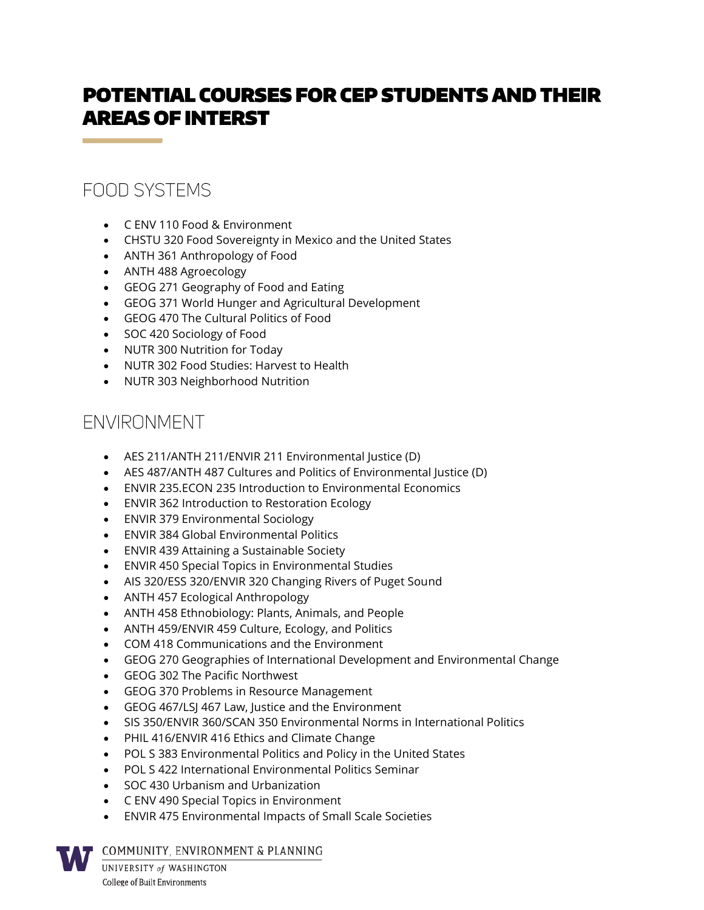## POTENTIAL COURSES FOR CEP STUDENTS AND THEIR AREAS OF INTERST

## FOOD SYSTEMS

- C ENV 110 Food & Environment
- CHSTU 320 Food Sovereignty in Mexico and the United States
- ANTH 361 Anthropology of Food
- ANTH 488 Agroecology
- GEOG 271 Geography of Food and Eating
- GEOG 371 World Hunger and Agricultural Development
- GEOG 470 The Cultural Politics of Food
- SOC 420 Sociology of Food
- NUTR 300 Nutrition for Today
- NUTR 302 Food Studies: Harvest to Health
- NUTR 303 Neighborhood Nutrition

## ENVIRONMENT

- AES 211/ANTH 211/ENVIR 211 Environmental Justice (D)
- AES 487/ANTH 487 Cultures and Politics of Environmental Justice (D)
- ENVIR 235.ECON 235 Introduction to Environmental Economics
- ENVIR 362 Introduction to Restoration Ecology
- ENVIR 379 Environmental Sociology
- ENVIR 384 Global Environmental Politics
- ENVIR 439 Attaining a Sustainable Society
- ENVIR 450 Special Topics in Environmental Studies
- AIS 320/ESS 320/ENVIR 320 Changing Rivers of Puget Sound
- ANTH 457 Ecological Anthropology
- ANTH 458 Ethnobiology: Plants, Animals, and People
- ANTH 459/ENVIR 459 Culture, Ecology, and Politics
- COM 418 Communications and the Environment
- GEOG 270 Geographies of International Development and Environmental Change
- GEOG 302 The Pacific Northwest
- GEOG 370 Problems in Resource Management
- GEOG 467/LSJ 467 Law, Justice and the Environment
- SIS 350/ENVIR 360/SCAN 350 Environmental Norms in International Politics
- PHIL 416/ENVIR 416 Ethics and Climate Change
- POL S 383 Environmental Politics and Policy in the United States
- POL S 422 International Environmental Politics Seminar
- SOC 430 Urbanism and Urbanization
- C ENV 490 Special Topics in Environment
- ENVIR 475 Environmental Impacts of Small Scale Societies

COMMUNITY, ENVIRONMENT & PLANNING

UNIVERSITY of WASHINGTON **College of Built Environments**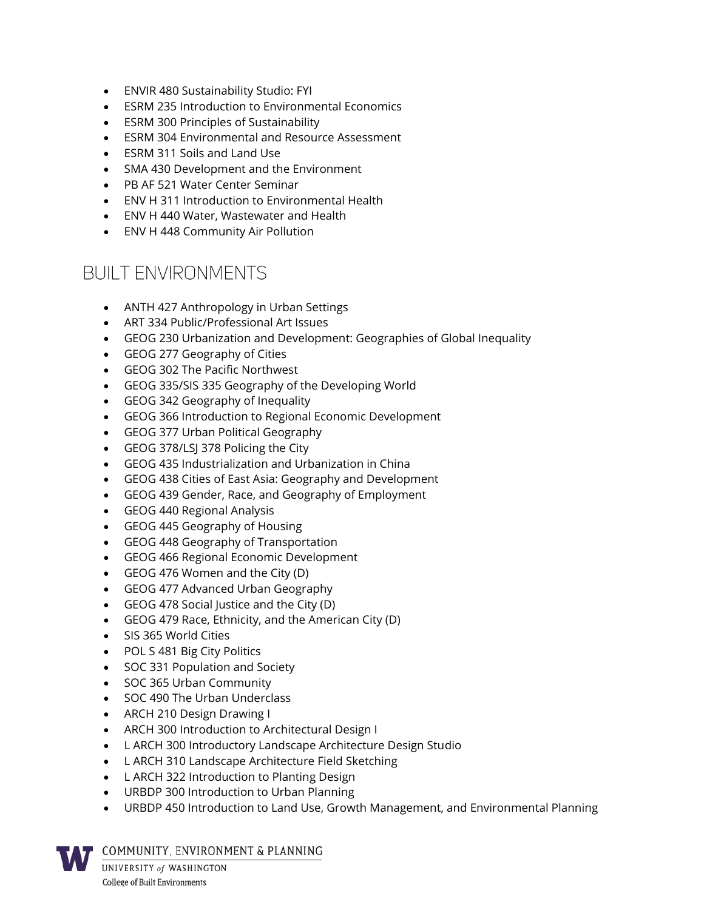- ENVIR 480 Sustainability Studio: FYI
- ESRM 235 Introduction to Environmental Economics
- ESRM 300 Principles of Sustainability
- ESRM 304 Environmental and Resource Assessment
- ESRM 311 Soils and Land Use
- SMA 430 Development and the Environment
- PB AF 521 Water Center Seminar
- ENV H 311 Introduction to Environmental Health
- ENV H 440 Water, Wastewater and Health
- ENV H 448 Community Air Pollution

#### **BUILT ENVIRONMENTS**

- ANTH 427 Anthropology in Urban Settings
- ART 334 Public/Professional Art Issues
- GEOG 230 Urbanization and Development: Geographies of Global Inequality
- GEOG 277 Geography of Cities
- GEOG 302 The Pacific Northwest
- GEOG 335/SIS 335 Geography of the Developing World
- GEOG 342 Geography of Inequality
- GEOG 366 Introduction to Regional Economic Development
- GEOG 377 Urban Political Geography
- GEOG 378/LSJ 378 Policing the City
- GEOG 435 Industrialization and Urbanization in China
- GEOG 438 Cities of East Asia: Geography and Development
- GEOG 439 Gender, Race, and Geography of Employment
- GEOG 440 Regional Analysis
- GEOG 445 Geography of Housing
- GEOG 448 Geography of Transportation
- GEOG 466 Regional Economic Development
- GEOG 476 Women and the City (D)
- GEOG 477 Advanced Urban Geography
- GEOG 478 Social Justice and the City (D)
- GEOG 479 Race, Ethnicity, and the American City (D)
- SIS 365 World Cities
- POL S 481 Big City Politics
- SOC 331 Population and Society
- SOC 365 Urban Community
- SOC 490 The Urban Underclass
- ARCH 210 Design Drawing I
- ARCH 300 Introduction to Architectural Design I
- L ARCH 300 Introductory Landscape Architecture Design Studio
- L ARCH 310 Landscape Architecture Field Sketching
- L ARCH 322 Introduction to Planting Design
- URBDP 300 Introduction to Urban Planning
- URBDP 450 Introduction to Land Use, Growth Management, and Environmental Planning

COMMUNITY, ENVIRONMENT & PLANNING

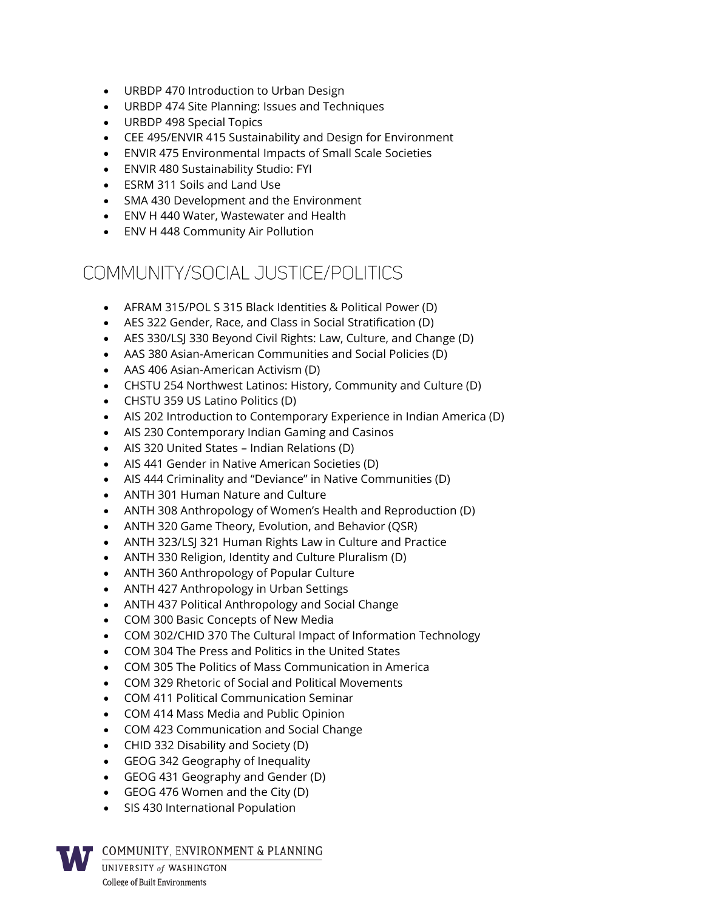- URBDP 470 Introduction to Urban Design
- URBDP 474 Site Planning: Issues and Techniques
- URBDP 498 Special Topics
- CEE 495/ENVIR 415 Sustainability and Design for Environment
- ENVIR 475 Environmental Impacts of Small Scale Societies
- ENVIR 480 Sustainability Studio: FYI
- ESRM 311 Soils and Land Use
- SMA 430 Development and the Environment
- ENV H 440 Water, Wastewater and Health
- ENV H 448 Community Air Pollution

#### COMMUNITY/SOCIAL JUSTICF/POLITICS

- AFRAM 315/POL S 315 Black Identities & Political Power (D)
- AES 322 Gender, Race, and Class in Social Stratification (D)
- AES 330/LSJ 330 Beyond Civil Rights: Law, Culture, and Change (D)
- AAS 380 Asian-American Communities and Social Policies (D)
- AAS 406 Asian-American Activism (D)
- CHSTU 254 Northwest Latinos: History, Community and Culture (D)
- CHSTU 359 US Latino Politics (D)
- AIS 202 Introduction to Contemporary Experience in Indian America (D)
- AIS 230 Contemporary Indian Gaming and Casinos
- AIS 320 United States Indian Relations (D)
- AIS 441 Gender in Native American Societies (D)
- AIS 444 Criminality and "Deviance" in Native Communities (D)
- ANTH 301 Human Nature and Culture
- ANTH 308 Anthropology of Women's Health and Reproduction (D)
- ANTH 320 Game Theory, Evolution, and Behavior (QSR)
- ANTH 323/LSJ 321 Human Rights Law in Culture and Practice
- ANTH 330 Religion, Identity and Culture Pluralism (D)
- ANTH 360 Anthropology of Popular Culture
- ANTH 427 Anthropology in Urban Settings
- ANTH 437 Political Anthropology and Social Change
- COM 300 Basic Concepts of New Media
- COM 302/CHID 370 The Cultural Impact of Information Technology
- COM 304 The Press and Politics in the United States
- COM 305 The Politics of Mass Communication in America
- COM 329 Rhetoric of Social and Political Movements
- COM 411 Political Communication Seminar
- COM 414 Mass Media and Public Opinion
- COM 423 Communication and Social Change
- CHID 332 Disability and Society (D)
- GEOG 342 Geography of Inequality
- GEOG 431 Geography and Gender (D)
- GEOG 476 Women and the City (D)
- SIS 430 International Population

COMMUNITY, ENVIRONMENT & PLANNING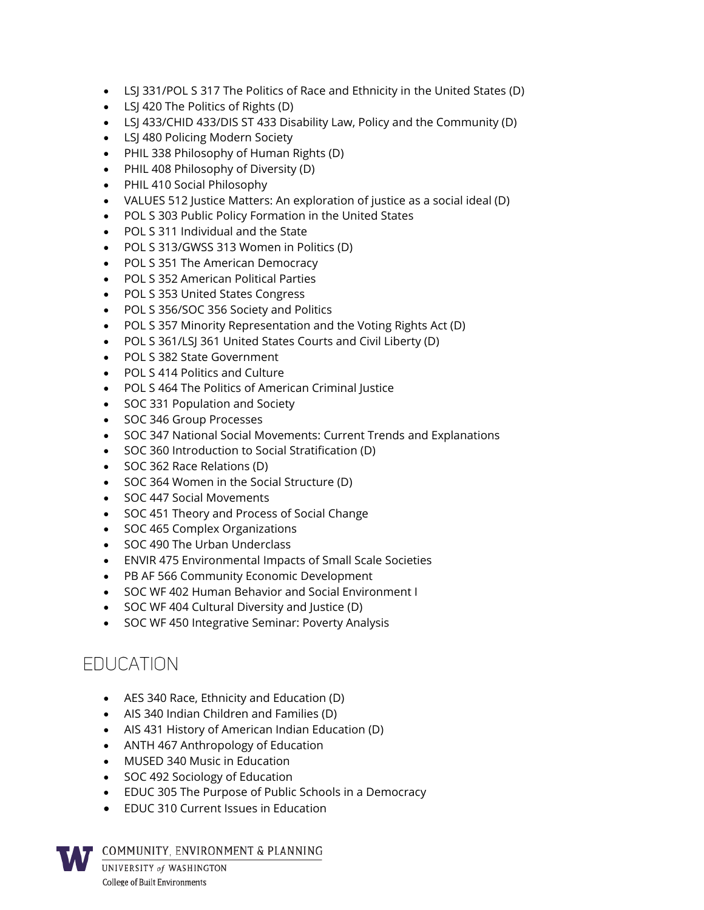- LSJ 331/POL S 317 The Politics of Race and Ethnicity in the United States (D)
- LSJ 420 The Politics of Rights (D)
- LSJ 433/CHID 433/DIS ST 433 Disability Law, Policy and the Community (D)
- LSJ 480 Policing Modern Society
- PHIL 338 Philosophy of Human Rights (D)
- PHIL 408 Philosophy of Diversity (D)
- PHIL 410 Social Philosophy
- VALUES 512 Justice Matters: An exploration of justice as a social ideal (D)
- POL S 303 Public Policy Formation in the United States
- POL S 311 Individual and the State
- POL S 313/GWSS 313 Women in Politics (D)
- POL S 351 The American Democracy
- POL S 352 American Political Parties
- POL S 353 United States Congress
- POL S 356/SOC 356 Society and Politics
- POL S 357 Minority Representation and the Voting Rights Act (D)
- POL S 361/LSJ 361 United States Courts and Civil Liberty (D)
- POL S 382 State Government
- POL S 414 Politics and Culture
- POL S 464 The Politics of American Criminal Justice
- SOC 331 Population and Society
- SOC 346 Group Processes
- SOC 347 National Social Movements: Current Trends and Explanations
- SOC 360 Introduction to Social Stratification (D)
- SOC 362 Race Relations (D)
- SOC 364 Women in the Social Structure (D)
- SOC 447 Social Movements
- SOC 451 Theory and Process of Social Change
- SOC 465 Complex Organizations
- SOC 490 The Urban Underclass
- ENVIR 475 Environmental Impacts of Small Scale Societies
- PB AF 566 Community Economic Development
- SOC WF 402 Human Behavior and Social Environment I
- SOC WF 404 Cultural Diversity and Justice (D)
- SOC WF 450 Integrative Seminar: Poverty Analysis

### **FDUCATION**

- AES 340 Race, Ethnicity and Education (D)
- AIS 340 Indian Children and Families (D)
- AIS 431 History of American Indian Education (D)
- ANTH 467 Anthropology of Education
- MUSED 340 Music in Education
- SOC 492 Sociology of Education
- EDUC 305 The Purpose of Public Schools in a Democracy
- EDUC 310 Current Issues in Education

COMMUNITY, ENVIRONMENT & PLANNING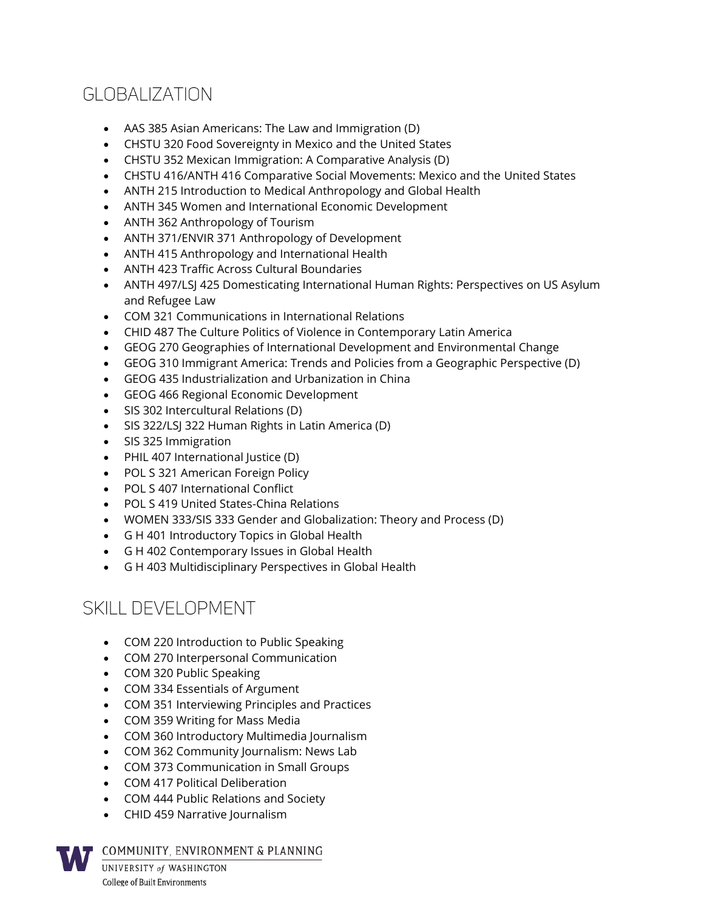# GLOBALIZATION

- AAS 385 Asian Americans: The Law and Immigration (D)
- CHSTU 320 Food Sovereignty in Mexico and the United States
- CHSTU 352 Mexican Immigration: A Comparative Analysis (D)
- CHSTU 416/ANTH 416 Comparative Social Movements: Mexico and the United States
- ANTH 215 Introduction to Medical Anthropology and Global Health
- ANTH 345 Women and International Economic Development
- ANTH 362 Anthropology of Tourism
- ANTH 371/ENVIR 371 Anthropology of Development
- ANTH 415 Anthropology and International Health
- ANTH 423 Traffic Across Cultural Boundaries
- ANTH 497/LSJ 425 Domesticating International Human Rights: Perspectives on US Asylum and Refugee Law
- COM 321 Communications in International Relations
- CHID 487 The Culture Politics of Violence in Contemporary Latin America
- GEOG 270 Geographies of International Development and Environmental Change
- GEOG 310 Immigrant America: Trends and Policies from a Geographic Perspective (D)
- GEOG 435 Industrialization and Urbanization in China
- GEOG 466 Regional Economic Development
- SIS 302 Intercultural Relations (D)
- SIS 322/LSJ 322 Human Rights in Latin America (D)
- SIS 325 Immigration
- PHIL 407 International Justice (D)
- POL S 321 American Foreign Policy
- POL S 407 International Conflict
- POL S 419 United States-China Relations
- WOMEN 333/SIS 333 Gender and Globalization: Theory and Process (D)
- G H 401 Introductory Topics in Global Health
- G H 402 Contemporary Issues in Global Health
- G H 403 Multidisciplinary Perspectives in Global Health

### SKILL DEVELOPMENT

- COM 220 Introduction to Public Speaking
- COM 270 Interpersonal Communication
- COM 320 Public Speaking
- COM 334 Essentials of Argument
- COM 351 Interviewing Principles and Practices
- COM 359 Writing for Mass Media
- COM 360 Introductory Multimedia Journalism
- COM 362 Community Journalism: News Lab
- COM 373 Communication in Small Groups
- COM 417 Political Deliberation
- COM 444 Public Relations and Society
- CHID 459 Narrative Journalism

COMMUNITY, ENVIRONMENT & PLANNING

UNIVERSITY of WASHINGTON **College of Built Environments**